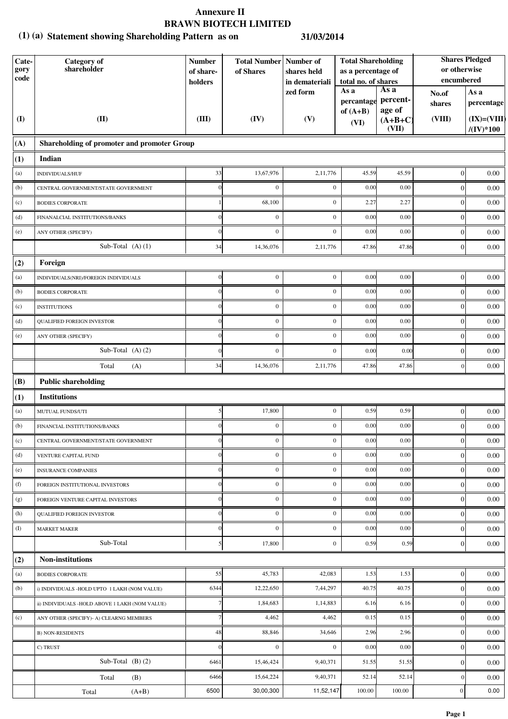## **Annexure II BRAWN BIOTECH LIMITED**

## **Statement showing Shareholding Pattern as on (1) (a) 31/03/2014**

| Cate-<br>gory<br>code | <b>Category</b> of<br>shareholder              | <b>Number</b><br>of share-<br>holders | <b>Total Number   Number of</b><br>of Shares | shares held<br>in demateriali | <b>Total Shareholding</b><br>as a percentage of<br>total no. of shares |                              | <b>Shares Pledged</b><br>or otherwise<br>encumbered |                                        |
|-----------------------|------------------------------------------------|---------------------------------------|----------------------------------------------|-------------------------------|------------------------------------------------------------------------|------------------------------|-----------------------------------------------------|----------------------------------------|
|                       |                                                |                                       |                                              | zed form                      | As a<br>percantage                                                     | As a<br>percent-             | No.of<br>shares                                     | As a<br>percentage                     |
| $\mathbf{I}$          | (II)                                           | (III)                                 | (IV)                                         | (V)                           | of $(A+B)$<br>(VI)                                                     | age of<br>$(A+B+C)$<br>(VII) | (VIII)                                              | $(IX)=(VIII)$<br>$/(\mathrm{IV})^*100$ |
| (A)                   | Shareholding of promoter and promoter Group    |                                       |                                              |                               |                                                                        |                              |                                                     |                                        |
| (1)                   | Indian                                         |                                       |                                              |                               |                                                                        |                              |                                                     |                                        |
| (a)                   | INDIVIDUALS/HUF                                | 33                                    | 13,67,976                                    | 2,11,776                      | 45.59                                                                  | 45.59                        | $\vert 0 \vert$                                     | 0.00                                   |
| (b)                   | CENTRAL GOVERNMENT/STATE GOVERNMENT            |                                       | $\boldsymbol{0}$                             | $\mathbf{0}$                  | 0.00                                                                   | 0.00                         | $\mathbf{0}$                                        | 0.00                                   |
| (c)                   | <b>BODIES CORPORATE</b>                        |                                       | 68,100                                       | $\boldsymbol{0}$              | 2.27                                                                   | 2.27                         | $\boldsymbol{0}$                                    | 0.00                                   |
| (d)                   | FINANALCIAL INSTITUTIONS/BANKS                 | $\Omega$                              | $\mathbf{0}$                                 | $\mathbf{0}$                  | 0.00                                                                   | 0.00                         | $\boldsymbol{0}$                                    | 0.00                                   |
| (e)                   | ANY OTHER (SPECIFY)                            | $\Omega$                              | $\overline{0}$                               | $\mathbf{0}$                  | 0.00                                                                   | 0.00                         | $\boldsymbol{0}$                                    | 0.00                                   |
|                       | Sub-Total $(A)$ $(1)$                          | 34                                    | 14,36,076                                    | 2,11,776                      | 47.86                                                                  | 47.86                        | $\boldsymbol{0}$                                    | 0.00                                   |
| (2)                   | Foreign                                        |                                       |                                              |                               |                                                                        |                              |                                                     |                                        |
| (a)                   | INDIVIDUALS(NRI)/FOREIGN INDIVIDUALS           | $\boldsymbol{0}$                      | $\boldsymbol{0}$                             | $\boldsymbol{0}$              | 0.00                                                                   | 0.00                         | $\overline{0}$                                      | 0.00                                   |
| (b)                   | <b>BODIES CORPORATE</b>                        |                                       | $\boldsymbol{0}$                             | $\mathbf{0}$                  | 0.00                                                                   | 0.00                         | $\boldsymbol{0}$                                    | 0.00                                   |
| (c)                   | <b>INSTITUTIONS</b>                            |                                       | $\boldsymbol{0}$                             | $\boldsymbol{0}$              | 0.00                                                                   | 0.00                         | $\boldsymbol{0}$                                    | 0.00                                   |
| (d)                   | <b>QUALIFIED FOREIGN INVESTOR</b>              |                                       | $\mathbf{0}$                                 | $\mathbf{0}$                  | 0.00                                                                   | 0.00                         | $\boldsymbol{0}$                                    | 0.00                                   |
| (e)                   | ANY OTHER (SPECIFY)                            |                                       | $\boldsymbol{0}$                             | $\boldsymbol{0}$              | 0.00                                                                   | 0.00                         | $\boldsymbol{0}$                                    | 0.00                                   |
|                       | Sub-Total $(A)$ $(2)$                          |                                       | $\boldsymbol{0}$                             | $\boldsymbol{0}$              | 0.00                                                                   | 0.00                         | $\boldsymbol{0}$                                    | 0.00                                   |
|                       | Total<br>(A)                                   | 34                                    | 14,36,076                                    | 2,11,776                      | 47.86                                                                  | 47.86                        | $\mathbf{0}$                                        | 0.00                                   |
| (B)                   | <b>Public shareholding</b>                     |                                       |                                              |                               |                                                                        |                              |                                                     |                                        |
| (1)                   | <b>Institutions</b>                            |                                       |                                              |                               |                                                                        |                              |                                                     |                                        |
| (a)                   | MUTUAL FUNDS/UTI                               | 5                                     | 17,800                                       | $\mathbf{0}$                  | 0.59                                                                   | 0.59                         | $\boldsymbol{0}$                                    | 0.00                                   |
| (b)                   | FINANCIAL INSTITUTIONS/BANKS                   | $\Omega$                              | $\boldsymbol{0}$                             | $\mathbf{0}$                  | 0.00                                                                   | 0.00                         | $\boldsymbol{0}$                                    | 0.00                                   |
| (c)                   | CENTRAL GOVERNMENT/STATE GOVERNMENT            | $\Omega$                              | $\boldsymbol{0}$                             | $\boldsymbol{0}$              | 0.00                                                                   | 0.00                         | $\boldsymbol{0}$                                    | 0.00                                   |
| (d)                   | VENTURE CAPITAL FUND                           | $\Omega$                              | $\boldsymbol{0}$                             | $\mathbf{0}$                  | 0.00                                                                   | 0.00                         | $\boldsymbol{0}$                                    | 0.00                                   |
| (e)                   | <b>INSURANCE COMPANIES</b>                     | 0                                     | $\mathbf{0}$                                 | $\boldsymbol{0}$              | 0.00                                                                   | 0.00                         | $\boldsymbol{0}$                                    | 0.00                                   |
| (f)                   | FOREIGN INSTITUTIONAL INVESTORS                |                                       | $\boldsymbol{0}$                             | $\boldsymbol{0}$              | 0.00                                                                   | 0.00                         | $\boldsymbol{0}$                                    | 0.00                                   |
| (g)                   | FOREIGN VENTURE CAPITAL INVESTORS              |                                       | $\boldsymbol{0}$                             | $\boldsymbol{0}$              | 0.00                                                                   | 0.00                         | $\boldsymbol{0}$                                    | 0.00                                   |
| (h)                   | QUALIFIED FOREIGN INVESTOR                     |                                       | $\boldsymbol{0}$                             | $\mathbf{0}$                  | 0.00                                                                   | 0.00                         | $\boldsymbol{0}$                                    | 0.00                                   |
| (I)                   | <b>MARKET MAKER</b>                            | $\sqrt{ }$                            | $\mathbf{0}$                                 | $\boldsymbol{0}$              | 0.00                                                                   | 0.00                         | $\boldsymbol{0}$                                    | 0.00                                   |
|                       | Sub-Total                                      | 5                                     | 17,800                                       | $\boldsymbol{0}$              | 0.59                                                                   | 0.59                         | $\boldsymbol{0}$                                    | 0.00                                   |
| (2)                   | <b>Non-institutions</b>                        |                                       |                                              |                               |                                                                        |                              |                                                     |                                        |
| (a)                   | <b>BODIES CORPORATE</b>                        | 55                                    | 45,783                                       | 42,083                        | 1.53                                                                   | 1.53                         | $\vert 0 \vert$                                     | 0.00                                   |
| (b)                   | i) INDIVIDUALS -HOLD UPTO 1 LAKH (NOM VALUE)   | 6344                                  | 12,22,650                                    | 7,44,297                      | 40.75                                                                  | 40.75                        | $\boldsymbol{0}$                                    | 0.00                                   |
|                       | ii) INDIVIDUALS -HOLD ABOVE 1 LAKH (NOM VALUE) |                                       | 1,84,683                                     | 1,14,883                      | 6.16                                                                   | 6.16                         | $\boldsymbol{0}$                                    | 0.00                                   |
| (c)                   | ANY OTHER (SPECIFY)- A) CLEARNG MEMBERS        |                                       | 4,462                                        | 4,462                         | 0.15                                                                   | 0.15                         | $\boldsymbol{0}$                                    | 0.00                                   |
|                       | <b>B) NON-RESIDENTS</b>                        | 48                                    | 88,846                                       | 34,646                        | 2.96                                                                   | 2.96                         | $\boldsymbol{0}$                                    | 0.00                                   |
|                       | C) TRUST                                       | $\Omega$                              | $\mathbf{0}$                                 | $\mathbf{0}$                  | 0.00                                                                   | 0.00                         | $\mathbf{0}$                                        | 0.00                                   |
|                       | Sub-Total $(B)(2)$                             | 6461                                  | 15,46,424                                    | 9,40,371                      | 51.55                                                                  | 51.55                        | $\mathbf{0}$                                        | 0.00                                   |
|                       | Total<br>(B)                                   | 6466                                  | 15,64,224                                    | 9,40,371                      | 52.14                                                                  | 52.14                        | $\boldsymbol{0}$                                    | 0.00                                   |
|                       | $(A+B)$<br>Total                               | 6500                                  | 30,00,300                                    | 11,52,147                     | 100.00                                                                 | 100.00                       | $\boldsymbol{0}$                                    | 0.00                                   |